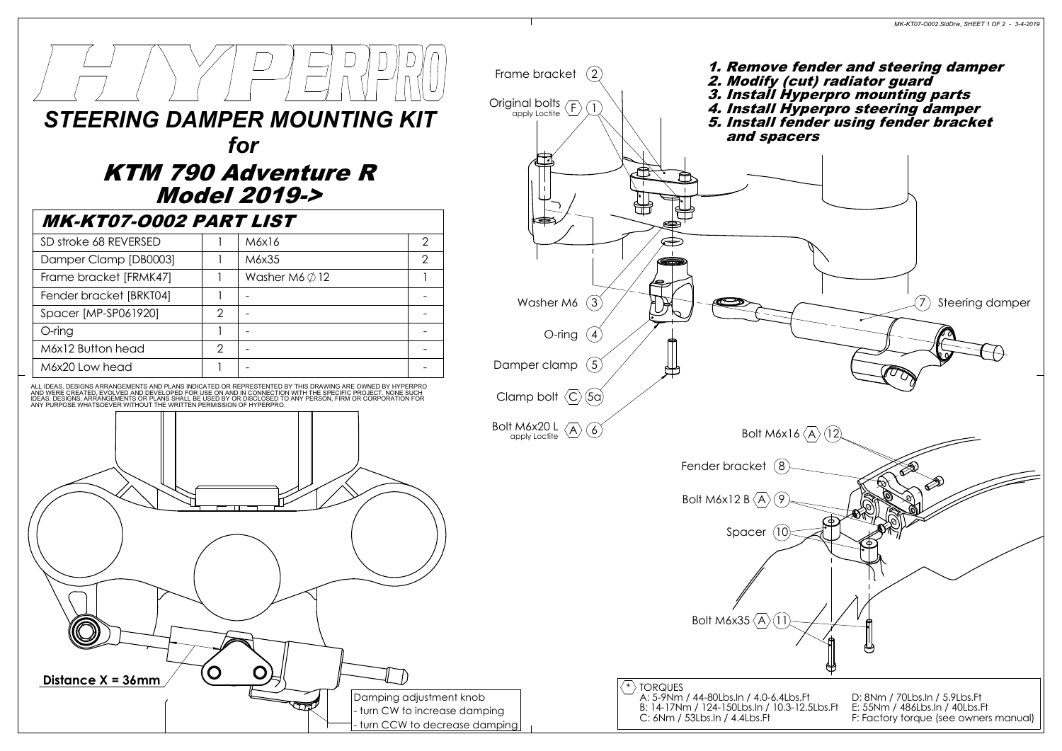